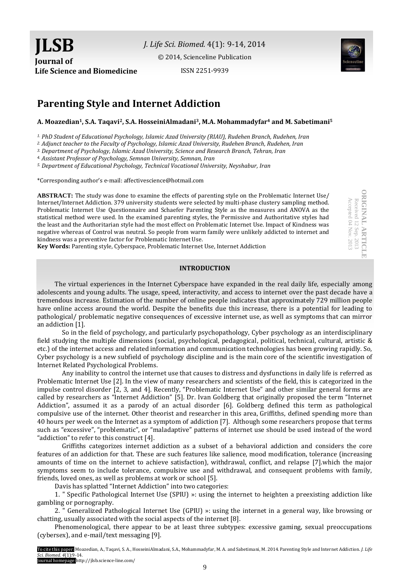*J. Life Sci. Biomed.* 4(1): 9-14, 2014

[© 2014, Scienceline Publication](http://www.science-line.com/index/)

ISSN 2251-9939



# **Parenting Style and Internet Addiction**

#### **A. Moazedian1, S.A. Taqavi2, S.A. HosseiniAlmadani3, M.A. Mohammadyfar<sup>4</sup> and M. Sabetimani<sup>5</sup>**

*1. PhD Student of Educational Psychology, Islamic Azad University (RIAU), Rudehen Branch, Rudehen, Iran*

*2. Adjunct teacher to the Faculty of Psychology, Islamic Azad University, Rudehen Branch, Rudehen, Iran* 

*3. Department of Psychology, Islamic Azad University, Science and Research Branch, Tehran, Iran*

*4. Assistant Professor of Psychology, Semnan University, Semnan, Iran*

*5. Department of Educational Psychology, Technical Vocational University, Neyshabur, Iran*

\*Corresponding author's e-mail: affectivescience@hotmail.com

**ABSTRACT:** The study was done to examine the effects of parenting style on the Problematic Internet Use/ Internet/Internet Addiction. 379 university students were selected by multi-phase clustery sampling method. Problematic Internet Use Questionnaire and Schaefer Parenting Style as the measures and ANOVA as the statistical method were used. In the examined parenting styles, the Permissive and Authoritative styles had the least and the Authoritarian style had the most effect on Problematic Internet Use. Impact of Kindness was negative whereas of Control was neutral. So people from warm family were unlikely addicted to internet and kindness was a preventive factor for Problematic Internet Use.

**Key Words:** Parenting style, Cyberspace, Problematic Internet Use, Internet Addiction

# **INTRODUCTION**

The virtual experiences in the Internet Cyberspace have expanded in the real daily life, especially among adolescents and young adults. The usage, speed, interactivity, and access to internet over the past decade have a tremendous increase. Estimation of the number of online people indicates that approximately 729 million people have online access around the world. Despite the benefits due this increase, there is a potential for leading to pathological/ problematic negative consequences of excessive internet use, as well as symptoms that can mirror an addiction [1].

So in the field of psychology, and particularly psychopathology, Cyber psychology as an interdisciplinary field studying the multiple dimensions (social, psychological, pedagogical, political, technical, cultural, artistic & etc.) of the internet access and related information and communication technologies has been growing rapidly. So, Cyber psychology is a new subfield of psychology discipline and is the main core of the scientific investigation of Internet Related Psychological Problems.

Any inability to control the internet use that causes to distress and dysfunctions in daily life is referred as Problematic Internet Use [2]. In the view of many researchers and scientists of the field, this is categorized in the impulse control disorder [2, 3, and 4]. Recently, "Problematic Internet Use" and other similar general forms are called by researchers as "Internet Addiction" [5]. Dr. Ivan Goldberg that originally proposed the term "Internet Addiction", assumed it as a parody of an actual disorder [6]. Goldberg defined this term as pathological compulsive use of the internet. Other theorist and researcher in this area, Griffiths, defined spending more than 40 hours per week on the Internet as a symptom of addiction [7]. Although some researchers propose that terms such as "excessive", "problematic", or "maladaptive" patterns of internet use should be used instead of the word "addiction" to refer to this construct [4].

Griffiths categorizes internet addiction as a subset of a behavioral addiction and considers the core features of an addiction for that. These are such features like salience, mood modification, tolerance (increasing amounts of time on the internet to achieve satisfaction), withdrawal, conflict, and relapse [7].which the major symptoms seem to include tolerance, compulsive use and withdrawal, and consequent problems with family, friends, loved ones, as well as problems at work or school [5].

Davis has splatted "Internet Addiction" into two categories:

1. " Specific Pathological Internet Use (SPIU) »: using the internet to heighten a preexisting addiction like gambling or pornography.

2. " Generalized Pathological Internet Use (GPIU) »: using the internet in a general way, like browsing or chatting, usually associated with the social aspects of the internet [8].

Phenomenological, there appear to be at least three subtypes: excessive gaming, sexual preoccupations (cybersex), and e-mail/text messaging [9].

To cite this paper: Moazedian, A., Taqavi, S. A., HosseiniAlmadani, S.A., Mohammadyfar, M. A. and Sabetimani, M. 2014.Parenting Style and Internet Addiction. *J. Life Sci. Biomed. 4*(1):9-14. Journal homepage:http://jlsb.science-line.com/

**ORIGINAL ARTICLE ORIGINAL ARTICLE** Received 12 Sep. 2013<br>Accepted 04 Nov. 2013 Accepted 04 Nov. 2013 Received 12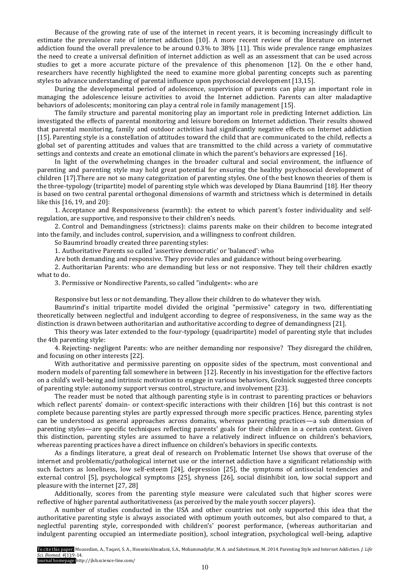Because of the growing rate of use of the internet in recent years, it is becoming increasingly difficult to estimate the prevalence rate of internet addiction [10]. A more recent review of the literature on internet addiction found the overall prevalence to be around 0.3% to 38% [11]. This wide prevalence range emphasizes the need to create a universal definition of internet addiction as well as an assessment that can be used across studies to get a more accurate picture of the prevalence of this phenomenon [12]. On the e other hand, researchers have recently highlighted the need to examine more global parenting concepts such as parenting styles to advance understanding of parental influence upon psychosocial development [13,15].

During the developmental period of adolescence, supervision of parents can play an important role in managing the adolescence leisure activities to avoid the Internet addiction. Parents can alter maladaptive behaviors of adolescents; monitoring can play a central role in family management [15].

The family structure and parental monitoring play an important role in predicting Internet addiction. Lin investigated the effects of parental monitoring and leisure boredom on Internet addiction. Their results showed that parental monitoring, family and outdoor activities had significantly negative effects on Internet addiction [15]. Parenting style is a constellation of attitudes toward the child that are communicated to the child, reflects a global set of parenting attitudes and values that are transmitted to the child across a variety of commutative settings and contexts and create an emotional climate in which the parent's behaviors are expressed [16].

In light of the overwhelming changes in the broader cultural and social environment, the influence of parenting and parenting style may hold great potential for ensuring the healthy psychosocial development of children [17].There are not so many categorization of parenting styles. One of the best known theories of them is the three-typology (tripartite) model of parenting style which was developed by Diana Baumrind [18]. Her theory is based on two central parental orthogonal dimensions of warmth and strictness which is determined in details like this [16, 19, and 20]:

1. Acceptance and Responsiveness (warmth): the extent to which parent's foster individuality and selfregulation, are supportive, and responsive to their children's needs.

2. Control and Demandingness (strictness): claims parents make on their children to become integrated into the family, and includes control, supervision, and a willingness to confront children.

So Baumrind broadly created three parenting styles:

1. Authoritative Parents so called 'assertive democratic' or 'balanced': who

Are both demanding and responsive. They provide rules and guidance without being overbearing.

2. Authoritarian Parents: who are demanding but less or not responsive. They tell their children exactly what to do.

3. Permissive or Nondirective Parents, so called "indulgent»: who are

Responsive but less or not demanding. They allow their children to do whatever they wish.

Baumrind's initial tripartite model divided the original "permissive" category in two, differentiating theoretically between neglectful and indulgent according to degree of responsiveness, in the same way as the distinction is drawn between authoritarian and authoritative according to degree of demandingness [21].

This theory was later extended to the four-typology (quadripartite) model of parenting style that includes the 4th parenting style:

4. Rejecting- negligent Parents: who are neither demanding nor responsive? They disregard the children, and focusing on other interests [22].

With authoritative and permissive parenting on opposite sides of the spectrum, most conventional and modern models of parenting fall somewhere in between [12]. Recently in his investigation for the effective factors on a child's well-being and intrinsic motivation to engage in various behaviors, Grolnick suggested three concepts of parenting style: autonomy support versus control, structure, and involvement [23].

The reader must be noted that although parenting style is in contrast to parenting practices or behaviors which reflect parents' domain- or context-specific interactions with their children [16] but this contrast is not complete because parenting styles are partly expressed through more specific practices. Hence, parenting styles can be understood as general approaches across domains, whereas parenting practices—a sub dimension of parenting styles—are specific techniques reflecting parents' goals for their children in a certain context. Given this distinction, parenting styles are assumed to have a relatively indirect influence on children's behaviors, whereas parenting practices have a direct influence on children's behaviors in specific contexts.

As a findings literature, a great deal of research on Problematic Internet Use shows that overuse of the internet and problematic/pathological internet use or the internet addiction have a significant relationship with such factors as loneliness, low self-esteem [24], depression [25], the symptoms of antisocial tendencies and external control [5], psychological symptoms [25], shyness [26], social disinhibit ion, low social support and pleasure with the internet [27, 28]

Additionally, scores from the parenting style measure were calculated such that higher scores were reflective of higher parental authoritativeness (as perceived by the male youth soccer players).

A number of studies conducted in the USA and other countries not only supported this idea that the authoritative parenting style is always associated with optimum youth outcomes, but also compared to that, a neglectful parenting style, corresponded with children's' poorest performance, (whereas authoritarian and indulgent parenting occupied an intermediate position), school integration, psychological well-being, adaptive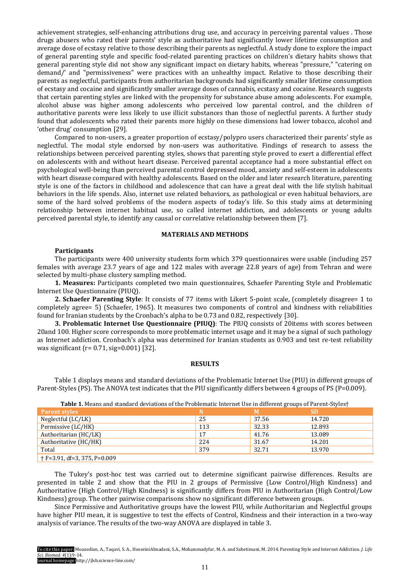achievement strategies, self-enhancing attributions drug use, and accuracy in perceiving parental values . Those drugs abusers who rated their parents' style as authoritative had significantly lower lifetime consumption and average dose of ecstasy relative to those describing their parents as neglectful. A study done to explore the impact of general parenting style and specific food-related parenting practices on children's dietary habits shows that general parenting style did not show any significant impact on dietary habits, whereas "pressure," "catering on demand/' and "permissiveness" were practices with an unhealthy impact. Relative to those describing their parents as neglectful, participants from authoritarian backgrounds had significantly smaller lifetime consumption of ecstasy and cocaine and significantly smaller average doses of cannabis, ecstasy and cocaine. Research suggests that certain parenting styles are linked with the propensity for substance abuse among adolescents. For example, alcohol abuse was higher among adolescents who perceived low parental control, and the children of authoritative parents were less likely to use illicit substances than those of neglectful parents. A further study found that adolescents who rated their parents more highly on these dimensions had lower tobacco, alcohol and 'other drug' consumption [29].

Compared to non-users, a greater proportion of ecstasy/polypro users characterized their parents' style as neglectful. The modal style endorsed by non-users was authoritative. Findings of research to assess the relationships between perceived parenting styles, shows that parenting style proved to exert a differential effect on adolescents with and without heart disease. Perceived parental acceptance had a more substantial effect on psychological well-being than perceived parental control depressed mood, anxiety and self-esteem in adolescents with heart disease compared with healthy adolescents. Based on the older and later research literature, parenting style is one of the factors in childhood and adolescence that can have a great deal with the life stylish habitual behaviors in the life spends. Also, internet use related behaviors, as pathological or even habitual behaviors, are some of the hard solved problems of the modern aspects of today's life. So this study aims at determining relationship between internet habitual use, so called internet addiction, and adolescents or young adults perceived parental style, to identify any causal or correlative relationship between them [7].

# **MATERIALS AND METHODS**

## **Participants**

The participants were 400 university students form which 379 questionnaires were usable (including 257 females with average 23.7 years of age and 122 males with average 22.8 years of age) from Tehran and were selected by multi-phase clustery sampling method.

**1. Measures:** Participants completed two main questionnaires, Schaefer Parenting Style and Problematic Internet Use Questionnaire (PIUQ).

**2. Schaefer Parenting Style**: It consists of 77 items with Likert 5-point scale, (completely disagree= 1 to completely agree= 5) (Schaefer, 1965). It measures two components of control and kindness with reliabilities found for Iranian students by the Cronbach's alpha to be 0.73 and 0.82, respectively [30].

**3. Problematic Internet Use Questionnaire (PIUQ)**: The PIUQ consists of 20items with scores between 20and 100. Higher score corresponds to more problematic internet usage and it may be a signal of such pathology as Internet addiction. Cronbach's alpha was determined for Iranian students as 0.903 and test re-test reliability was significant (r= 0.71, sig=0.001) [32].

#### **RESULTS**

Table 1 displays means and standard deviations of the Problematic Internet Use (PIU) in different groups of Parent-Styles (PS). The ANOVA test indicates that the PIU significantly differs between 4 groups of PS (P=0.009).

| <b>rable 1</b> means and standard deviations of the 1 roblematic meetilet ose in americing oups of Farenc Styles ( |     |       |        |  |  |  |
|--------------------------------------------------------------------------------------------------------------------|-----|-------|--------|--|--|--|
| <b>Parent styles</b>                                                                                               |     |       | SD     |  |  |  |
| Neglectful (LC/LK)                                                                                                 | -25 | 37.56 | 14.720 |  |  |  |
| Permissive (LC/HK)                                                                                                 | 113 | 32.33 | 12.893 |  |  |  |
| Authoritarian (HC/LK)                                                                                              | 17  | 41.76 | 13.089 |  |  |  |
| Authoritative (HC/HK)                                                                                              | 224 | 31.67 | 14.201 |  |  |  |
| Total                                                                                                              | 379 | 32.71 | 13.970 |  |  |  |
| $\dagger$ F=3.91, df=3, 375, P=0.009                                                                               |     |       |        |  |  |  |

**Table 1.** Means and standard deviations of the Problematic Internet Use in different groups of Parent-Styles†

The Tukey's post-hoc test was carried out to determine significant pairwise differences. Results are presented in table 2 and show that the PIU in 2 groups of Permissive (Low Control/High Kindness) and Authoritative (High Control/High Kindness) is significantly differs from PIU in Authoritarian (High Control/Low Kindness) group. The other pairwise comparisons show no significant difference between groups.

Since Permissive and Authoritative groups have the lowest PIU, while Authoritarian and Neglectful groups have higher PIU mean, it is suggestive to test the effects of Control, Kindness and their interaction in a two-way analysis of variance. The results of the two-way ANOVA are displayed in table 3.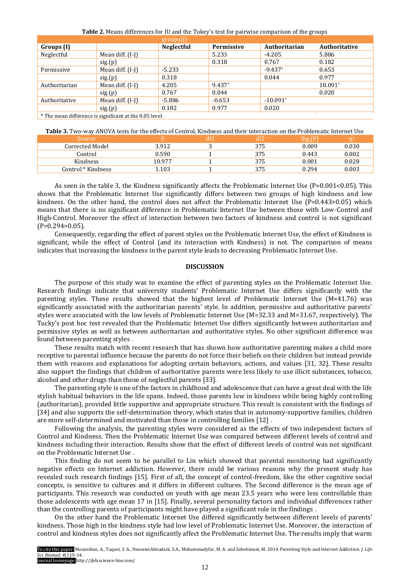|               |                    | $groups$ (J)      |            |               |               |  |  |
|---------------|--------------------|-------------------|------------|---------------|---------------|--|--|
| Groups (I)    |                    | <b>Neglectful</b> | Permissive | Authoritarian | Authoritative |  |  |
| Neglectful    | Mean diff. $(I-I)$ |                   | 5.233      | $-4.205$      | 5.886         |  |  |
|               | sig(p)             |                   | 0.318      | 0.767         | 0.182         |  |  |
| Permissive    | Mean diff. $(I-I)$ | $-5.233$          |            | $-9.437*$     | 0.653         |  |  |
|               | sig(p)             | 0.318             |            | 0.044         | 0.977         |  |  |
| Authoritarian | Mean diff. $(I-I)$ | 4.205             | 9.437*     |               | $10.091*$     |  |  |
|               | sig(p)             | 0.767             | 0.044      |               | 0.020         |  |  |
| Authoritative | Mean diff. (I-I)   | -5.886            | $-0.653$   | $-10.091*$    |               |  |  |
|               | sig(p)             | 0.182             | 0.977      | 0.020         |               |  |  |
|               |                    |                   |            |               |               |  |  |

**Table 2.** Means differences for IU and the Tukey's test for pairwise comparison of the groups

\* The mean difference is significant at the 0.05 level.

**Table 3.** Two-way ANOVA tests for the effects of Control, Kindness and their interaction on the Problematic Internet Use

| Source             |        | df) |     | Sig.(P | mA    |
|--------------------|--------|-----|-----|--------|-------|
| Corrected Model    | 3.912  |     | 375 | 0.009  | 0.030 |
| Control            | 0.590  |     | 375 | 0.443  | 0.002 |
| <b>Kindness</b>    | 10.977 |     | 375 | 0.001  | 0.028 |
| Control * Kindness | .103   |     | 375 | 0.294  | 0.003 |

As seen in the table 3, the Kindness significantly affects the Problematic Internet Use ( $P=0.001<0.05$ ). This shows that the Problematic Internet Use significantly differs between two groups of high kindness and low kindness. On the other hand, the control does not affect the Problematic Internet Use  $(P=0.443>0.05)$  which means that there is no significant difference in Problematic Internet Use between those with Low-Control and High-Control. Moreover the effect of interaction between two factors of kindness and control is not significant (P=0.294>0.05).

Consequently, regarding the effect of parent styles on the Problematic Internet Use, the effect of Kindness is significant, while the effect of Control (and its interaction with Kindness) is not. The comparison of means indicates that increasing the kindness in the parent style leads to decreasing Problematic Internet Use.

### **DISCUSSION**

The purpose of this study was to examine the effect of parenting styles on the Problematic Internet Use. Research findings indicate that university students' Problematic Internet Use differs significantly with the parenting styles. These results showed that the highest level of Problematic Internet Use (M=41.76) was significantly associated with the authoritarian parents' style. In addition, permissive and authoritative parents' styles were associated with the low levels of Problematic Internet Use (M=32.33 and M=31.67, respectively). The Tucky's post hoc test revealed that the Problematic Internet Use differs significantly between authoritarian and permissive styles as well as between authoritarian and authoritative styles. No other significant difference was found between parenting styles .

These results match with recent research that has shown how authoritative parenting makes a child more receptive to parental influence because the parents do not force their beliefs on their children but instead provide them with reasons and explanations for adopting certain behaviors, actions, and values [31, 32]. These results also support the findings that children of authoritative parents were less likely to use illicit substances, tobacco, alcohol and other drugs than those of neglectful parents [33].

The parenting style is one of the factors in childhood and adolescence that can have a great deal with the life stylish habitual behaviors in the life spans. Indeed, those parents low in kindness while being highly controlling (authoritarian), provided little supportive and appropriate structure. This result is consistent with the findings of [34] and also supports the self-determination theory, which states that in autonomy-supportive families, children are more self-determined and motivated than those in controlling families [12] .

Following the analysis, the parenting styles were considered as the effects of two independent factors of Control and Kindness. Then the Problematic Internet Use was compared between different levels of control and kindness including their interaction. Results show that the effect of different levels of control was not significant on the Problematic Internet Use .

This finding do not seem to be parallel to Lin which showed that parental monitoring had significantly negative effects on Internet addiction. However, there could be various reasons why the present study has revealed such research findings [15]. First of all, the concept of control-freedom, like the other cognitive social concepts, is sensitive to cultures and it differs in different cultures. The Second difference is the mean age of participants. This research was conducted on youth with age mean 23.5 years who were less controllable than those adolescents with age mean 17 in [15]. Finally, several personality factors and individual differences rather than the controlling parents of participants might have played a significant role in the findings .

On the other hand the Problematic Internet Use differed significantly between different levels of parents' kindness. Those high in the kindness style had low level of Problematic Internet Use. Moreover, the interaction of control and kindness styles does not significantly affect the Problematic Internet Use. The results imply that warm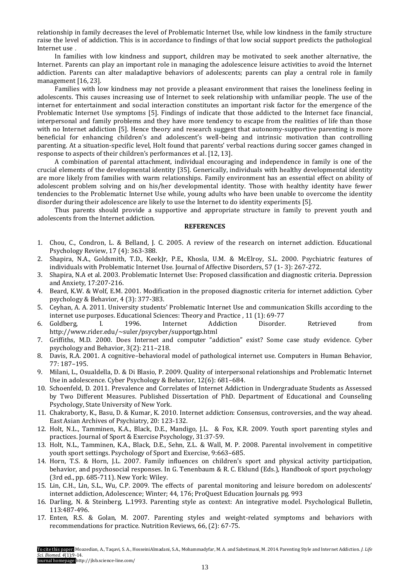relationship in family decreases the level of Problematic Internet Use, while low kindness in the family structure raise the level of addiction. This is in accordance to findings of that low social support predicts the pathological Internet use .

In families with low kindness and support, children may be motivated to seek another alternative, the Internet. Parents can play an important role in managing the adolescence leisure activities to avoid the Internet addiction. Parents can alter maladaptive behaviors of adolescents; parents can play a central role in family management [16, 23].

Families with low kindness may not provide a pleasant environment that raises the loneliness feeling in adolescents. This causes increasing use of Internet to seek relationship with unfamiliar people. The use of the internet for entertainment and social interaction constitutes an important risk factor for the emergence of the Problematic Internet Use symptoms [5]. Findings of indicate that those addicted to the Internet face financial, interpersonal and family problems and they have more tendency to escape from the realities of life than those with no Internet addiction [5]. Hence theory and research suggest that autonomy-supportive parenting is more beneficial for enhancing children's and adolescent's well-being and intrinsic motivation than controlling parenting. At a situation-specific level, Holt found that parents' verbal reactions during soccer games changed in response to aspects of their children's performances et al. [12, 13].

A combination of parental attachment, individual encouraging and independence in family is one of the crucial elements of the developmental identity [35]. Generically, individuals with healthy developmental identity are more likely from families with warm relationships. Family environment has an essential effect on ability of adolescent problem solving and on his/her developmental identity. Those with healthy identity have fewer tendencies to the Problematic Internet Use while, young adults who have been unable to overcome the identity disorder during their adolescence are likely to use the Internet to do identity experiments [5].

Thus parents should provide a supportive and appropriate structure in family to prevent youth and adolescents from the Internet addiction.

### **REFERENCES**

- 1. Chou, C., Condron, L. & Belland, J. C. 2005. A review of the research on internet addiction. Educational Psychology Review, 17 (4): 363-388.
- 2. Shapira, N.A., Goldsmith, T.D., KeekJr, P.E., Khosla, U.M. & McElroy, S.L. 2000. Psychiatric features of individuals with Problematic Internet Use. Journal of Affective Disorders, 57 (1- 3): 267-272.
- 3. Shapira, N.A et al. 2003. Problematic Internet Use: Proposed classifıcation and diagnostic criteria. Depression and Anxiety, 17:207-216.
- 4. Beard, K.W. & Wolf, E.M. 2001. Modification in the proposed diagnostic criteria for internet addiction. Cyber psychology & Behavior, 4 (3): 377-383.
- 5. Ceyhan, A. A. 2011. University students' Problematic Internet Use and communication Skills according to the internet use purposes. Educational Sciences: Theory and Practice , 11 (1): 69-77
- 6. Goldberg, I. 1996. Internet Addiction Disorder. Retrieved from http://www.rider.edu/~suler/psycyber/supportgp.html
- 7. Griffiths, M.D. 2000. Does Internet and computer "addiction" exist? Some case study evidence. Cyber psychology and Behavior, 3(2): 211–218.
- 8. Davis, R.A. 2001. A cognitive–behavioral model of pathological internet use. Computers in Human Behavior, 77: 187–195.
- 9. Milani, L., Osualdella, D. & Di Blasio, P. 2009. Quality of interpersonal relationships and Problematic Internet Use in adolescence. Cyber Psychology & Behavior, 12(6): 681–684.
- 10. Schoenfeld, D. 2011. Prevalence and Correlates of Internet Addiction in Undergraduate Students as Assessed by Two Different Measures. Published Dissertation of PhD. Department of Educational and Counseling Psychology, State University of New York.
- 11. Chakraborty, K., Basu, D. & Kumar, K. 2010. Internet addiction: Consensus, controversies, and the way ahead. East Asian Archives of Psychiatry, 20: 123-132.
- 12. Holt, N.L., Tamminen, K.A., Black, D.E., Mandigo, J.L. & Fox, K.R. 2009. Youth sport parenting styles and practices. Journal of Sport & Exercise Psychology, 31:37-59.
- 13. Holt, N.L., Tamminen, K.A., Black, D.E., Sehn, Z.L. & Wall, M. P. 2008. Parental involvement in competitive youth sport settings. Psychology of Sport and Exercise, 9:663–685.
- 14. Horn, T.S. & Horn, J.L. 2007. Family influences on children's sport and physical activity participation, behavior, and psychosocial responses. In G. Tenenbaum & R. C. Eklund (Eds.), Handbook of sport psychology (3rd ed., pp. 685-711). New York: Wiley.
- 15. Lin, C.H., Lin, S.L., Wu, C.P. 2009. The effects of parental monitoring and leisure boredom on adolescents' internet addiction, Adolescence; Winter; 44, 176; ProQuest Education Journals pg. 993
- 16. Darling, N. & Steinberg, L.1993. Parenting style as context: An integrative model. Psychological Bulletin, 113:487-496.
- 17. Enten, R.S. & Golan, M. 2007. Parenting styles and weight-related symptoms and behaviors with recommendations for practice. Nutrition Reviews, 66, (2): 67-75.